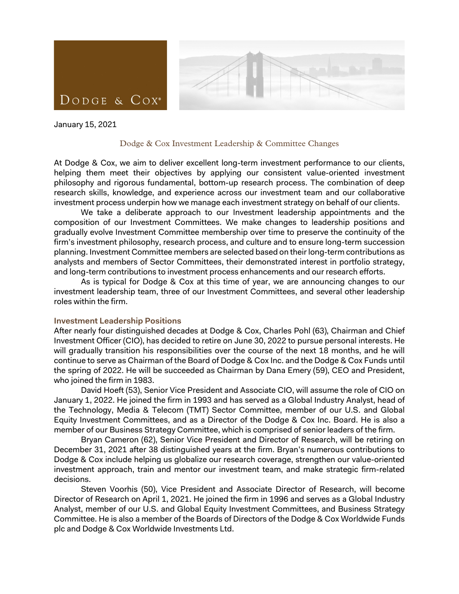

January 15, 2021

#### Dodge & Cox Investment Leadership & Committee Changes

At Dodge & Cox, we aim to deliver excellent long-term investment performance to our clients, helping them meet their objectives by applying our consistent value-oriented investment philosophy and rigorous fundamental, bottom-up research process. The combination of deep research skills, knowledge, and experience across our investment team and our collaborative investment process underpin how we manage each investment strategy on behalf of our clients.

We take a deliberate approach to our Investment leadership appointments and the composition of our Investment Committees. We make changes to leadership positions and gradually evolve Investment Committee membership over time to preserve the continuity of the firm's investment philosophy, research process, and culture and to ensure long-term succession planning. Investment Committee members are selected based on their long-term contributions as analysts and members of Sector Committees, their demonstrated interest in portfolio strategy, and long-term contributions to investment process enhancements and our research efforts.

As is typical for Dodge & Cox at this time of year, we are announcing changes to our investment leadership team, three of our Investment Committees, and several other leadership roles within the firm.

#### **Investment Leadership Positions**

After nearly four distinguished decades at Dodge & Cox, Charles Pohl (63), Chairman and Chief Investment Officer (CIO), has decided to retire on June 30, 2022 to pursue personal interests. He will gradually transition his responsibilities over the course of the next 18 months, and he will continue to serve as Chairman of the Board of Dodge & Cox Inc. and the Dodge & Cox Funds until the spring of 2022. He will be succeeded as Chairman by Dana Emery (59), CEO and President, who joined the firm in 1983.

David Hoeft (53), Senior Vice President and Associate CIO, will assume the role of CIO on January 1, 2022. He joined the firm in 1993 and has served as a Global Industry Analyst, head of the Technology, Media & Telecom (TMT) Sector Committee, member of our U.S. and Global Equity Investment Committees, and as a Director of the Dodge & Cox Inc. Board. He is also a member of our Business Strategy Committee, which is comprised of senior leaders of the firm.

Bryan Cameron (62), Senior Vice President and Director of Research, will be retiring on December 31, 2021 after 38 distinguished years at the firm. Bryan's numerous contributions to Dodge & Cox include helping us globalize our research coverage, strengthen our value-oriented investment approach, train and mentor our investment team, and make strategic firm-related decisions.

Steven Voorhis (50), Vice President and Associate Director of Research, will become Director of Research on April 1, 2021. He joined the firm in 1996 and serves as a Global Industry Analyst, member of our U.S. and Global Equity Investment Committees, and Business Strategy Committee. He is also a member of the Boards of Directors of the Dodge & Cox Worldwide Funds plc and Dodge & Cox Worldwide Investments Ltd.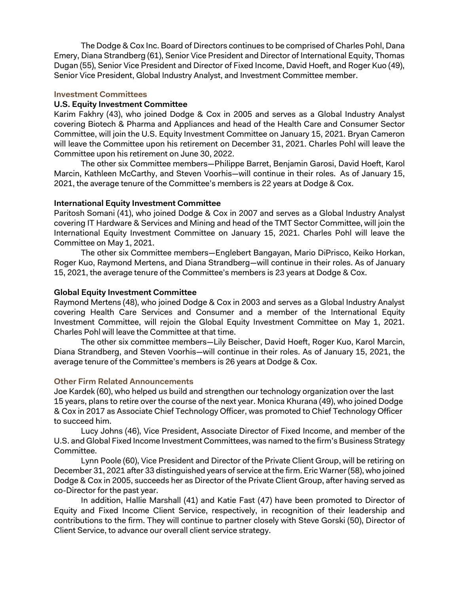The Dodge & Cox Inc. Board of Directors continues to be comprised of Charles Pohl, Dana Emery, Diana Strandberg (61), Senior Vice President and Director of International Equity, Thomas Dugan (55), Senior Vice President and Director of Fixed Income, David Hoeft, and Roger Kuo (49), Senior Vice President, Global Industry Analyst, and Investment Committee member.

## **Investment Committees**

## **U.S. Equity Investment Committee**

Karim Fakhry (43), who joined Dodge & Cox in 2005 and serves as a Global Industry Analyst covering Biotech & Pharma and Appliances and head of the Health Care and Consumer Sector Committee, will join the U.S. Equity Investment Committee on January 15, 2021. Bryan Cameron will leave the Committee upon his retirement on December 31, 2021. Charles Pohl will leave the Committee upon his retirement on June 30, 2022.

The other six Committee members—Philippe Barret, Benjamin Garosi, David Hoeft, Karol Marcin, Kathleen McCarthy, and Steven Voorhis—will continue in their roles. As of January 15, 2021, the average tenure of the Committee's members is 22 years at Dodge & Cox.

# **International Equity Investment Committee**

Paritosh Somani (41), who joined Dodge & Cox in 2007 and serves as a Global Industry Analyst covering IT Hardware & Services and Mining and head of the TMT Sector Committee, will join the International Equity Investment Committee on January 15, 2021. Charles Pohl will leave the Committee on May 1, 2021.

The other six Committee members—Englebert Bangayan, Mario DiPrisco, Keiko Horkan, Roger Kuo, Raymond Mertens, and Diana Strandberg—will continue in their roles. As of January 15, 2021, the average tenure of the Committee's members is 23 years at Dodge & Cox.

## **Global Equity Investment Committee**

Raymond Mertens (48), who joined Dodge & Cox in 2003 and serves as a Global Industry Analyst covering Health Care Services and Consumer and a member of the International Equity Investment Committee, will rejoin the Global Equity Investment Committee on May 1, 2021. Charles Pohl will leave the Committee at that time.

The other six committee members—Lily Beischer, David Hoeft, Roger Kuo, Karol Marcin, Diana Strandberg, and Steven Voorhis—will continue in their roles. As of January 15, 2021, the average tenure of the Committee's members is 26 years at Dodge & Cox.

#### **Other Firm Related Announcements**

Joe Kardek (60), who helped us build and strengthen our technology organization over the last 15 years, plans to retire over the course of the next year. Monica Khurana (49), who joined Dodge & Cox in 2017 as Associate Chief Technology Officer, was promoted to Chief Technology Officer to succeed him.

Lucy Johns (46), Vice President, Associate Director of Fixed Income, and member of the U.S. and Global Fixed Income Investment Committees, was named to the firm's Business Strategy Committee.

Lynn Poole (60), Vice President and Director of the Private Client Group, will be retiring on December 31, 2021 after 33 distinguished years of service at the firm. Eric Warner (58), who joined Dodge & Cox in 2005, succeeds her as Director of the Private Client Group, after having served as co-Director for the past year.

In addition, Hallie Marshall (41) and Katie Fast (47) have been promoted to Director of Equity and Fixed Income Client Service, respectively, in recognition of their leadership and contributions to the firm. They will continue to partner closely with Steve Gorski (50), Director of Client Service, to advance our overall client service strategy.